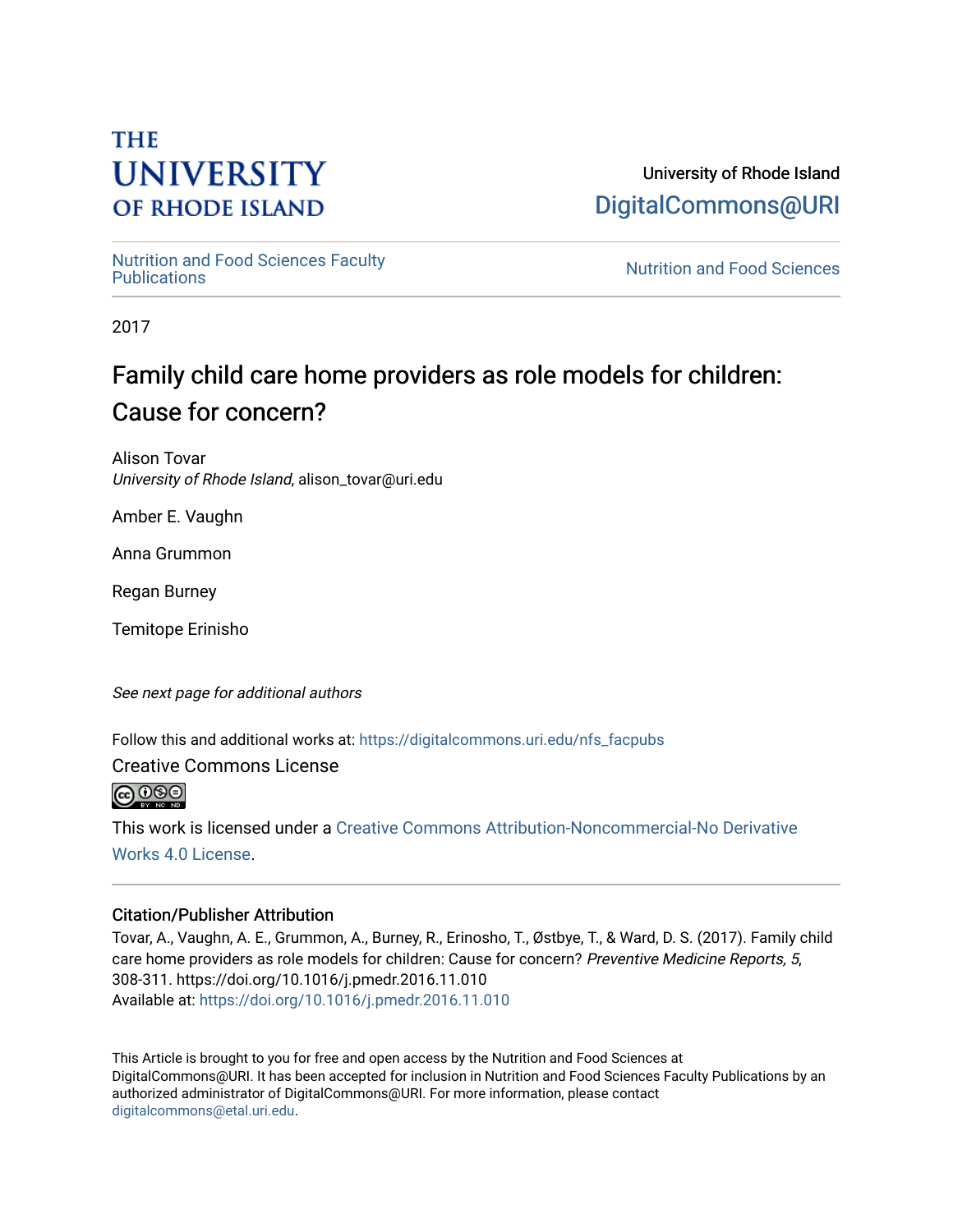# **THE UNIVERSITY OF RHODE ISLAND**

University of Rhode Island [DigitalCommons@URI](https://digitalcommons.uri.edu/) 

[Nutrition and Food Sciences Faculty](https://digitalcommons.uri.edu/nfs_facpubs) 

**Nutrition and Food Sciences** 

2017

# Family child care home providers as role models for children: Cause for concern?

Alison Tovar University of Rhode Island, alison\_tovar@uri.edu

Amber E. Vaughn

Anna Grummon

Regan Burney

Temitope Erinisho

See next page for additional authors

Follow this and additional works at: [https://digitalcommons.uri.edu/nfs\\_facpubs](https://digitalcommons.uri.edu/nfs_facpubs?utm_source=digitalcommons.uri.edu%2Fnfs_facpubs%2F219&utm_medium=PDF&utm_campaign=PDFCoverPages)

Creative Commons License

@0®0

This work is licensed under a [Creative Commons Attribution-Noncommercial-No Derivative](https://creativecommons.org/licenses/by-nc-nd/4.0/)  [Works 4.0 License](https://creativecommons.org/licenses/by-nc-nd/4.0/).

### Citation/Publisher Attribution

Tovar, A., Vaughn, A. E., Grummon, A., Burney, R., Erinosho, T., Østbye, T., & Ward, D. S. (2017). Family child care home providers as role models for children: Cause for concern? Preventive Medicine Reports, 5, 308-311. https://doi.org/10.1016/j.pmedr.2016.11.010 Available at:<https://doi.org/10.1016/j.pmedr.2016.11.010>

This Article is brought to you for free and open access by the Nutrition and Food Sciences at DigitalCommons@URI. It has been accepted for inclusion in Nutrition and Food Sciences Faculty Publications by an authorized administrator of DigitalCommons@URI. For more information, please contact [digitalcommons@etal.uri.edu](mailto:digitalcommons@etal.uri.edu).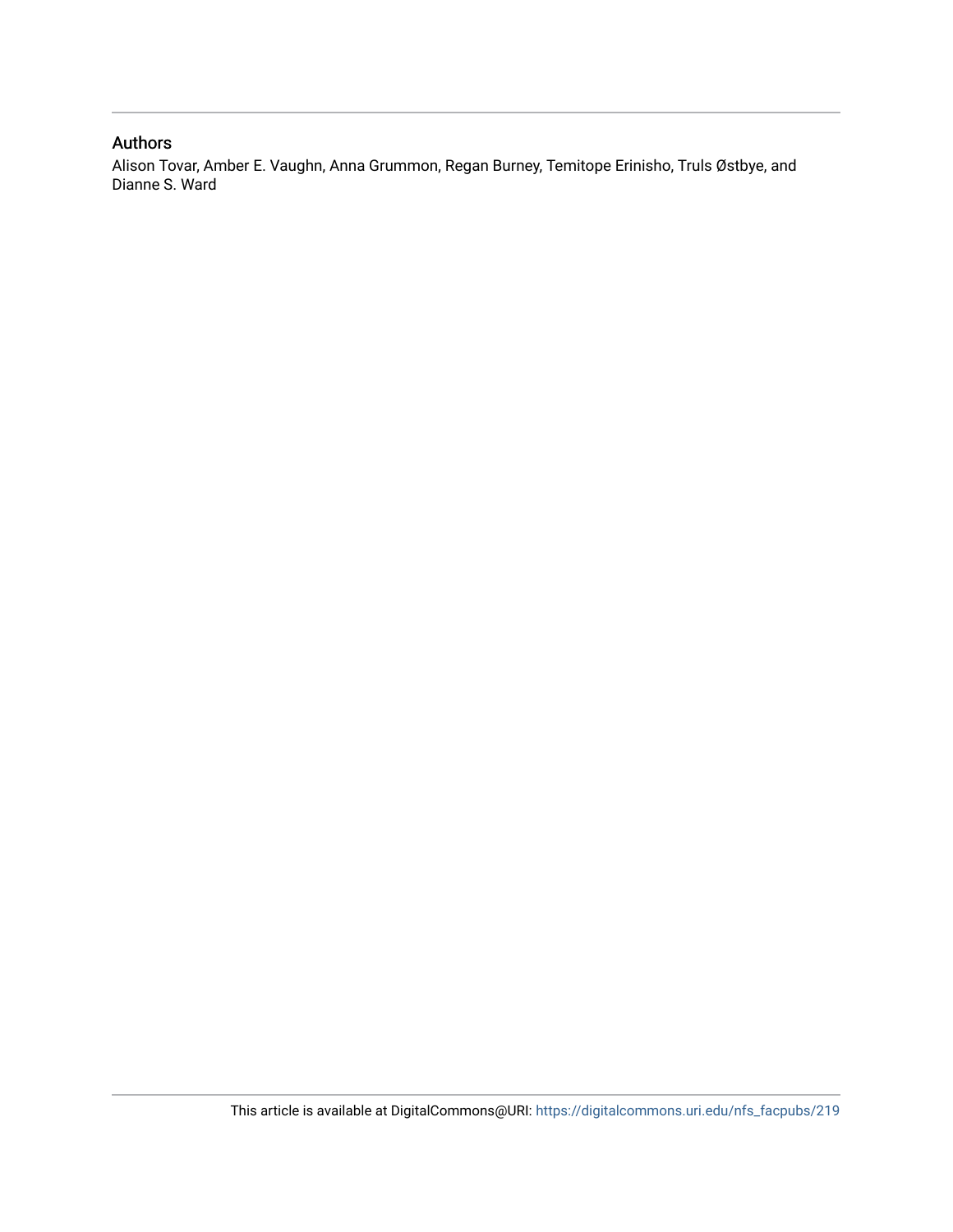### Authors

Alison Tovar, Amber E. Vaughn, Anna Grummon, Regan Burney, Temitope Erinisho, Truls Østbye, and Dianne S. Ward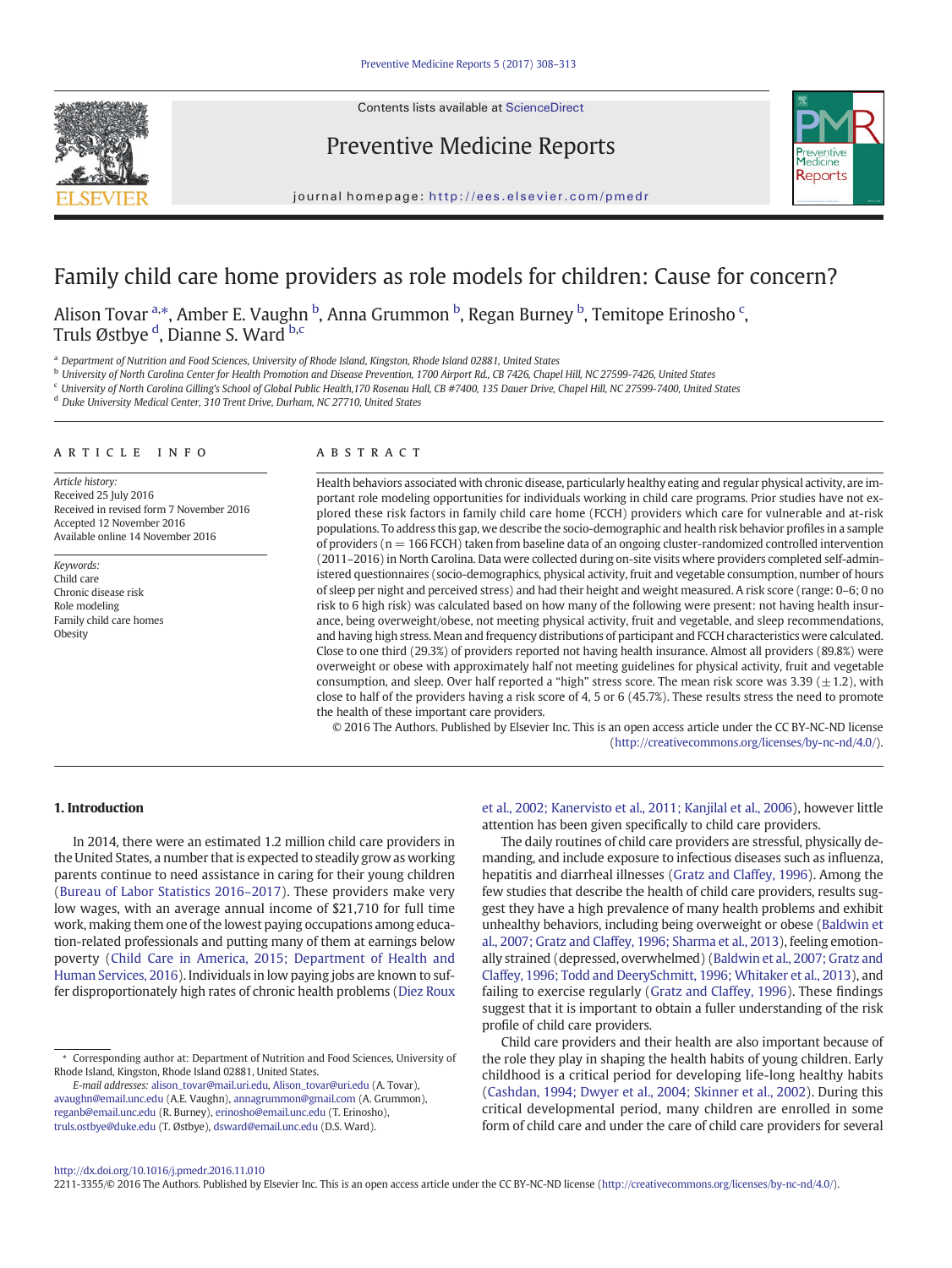Contents lists available at [ScienceDirect](http://www.sciencedirect.com/science/journal/)



Preventive Medicine Reports



journal homepage: <http://ees.elsevier.com/pmedr>

## Family child care home providers as role models for children: Cause for concern?

Alison Tovar <sup>a,\*</sup>, Amber E. Vaughn <sup>b</sup>, Anna Grummon <sup>b</sup>, Regan Burney <sup>b</sup>, Temitope Erinosho <sup>c</sup>, Truls Østbye <sup>d</sup>, Dianne S. Ward <sup>b,c</sup>

a Department of Nutrition and Food Sciences, University of Rhode Island, Kingston, Rhode Island 02881, United States

<sup>b</sup> University of North Carolina Center for Health Promotion and Disease Prevention, 1700 Airport Rd., CB 7426, Chapel Hill, NC 27599-7426, United States

<sup>c</sup> University of North Carolina Gilling's School of Global Public Health,170 Rosenau Hall, CB #7400, 135 Dauer Drive, Chapel Hill, NC 27599-7400, United States

<sup>d</sup> Duke University Medical Center, 310 Trent Drive, Durham, NC 27710, United States

#### article info abstract

Article history: Received 25 July 2016 Received in revised form 7 November 2016 Accepted 12 November 2016 Available online 14 November 2016

Keywords: Child care Chronic disease risk Role modeling Family child care homes Obesity

Health behaviors associated with chronic disease, particularly healthy eating and regular physical activity, are important role modeling opportunities for individuals working in child care programs. Prior studies have not explored these risk factors in family child care home (FCCH) providers which care for vulnerable and at-risk populations. To address this gap, we describe the socio-demographic and health risk behavior profiles in a sample of providers ( $n = 166$  FCCH) taken from baseline data of an ongoing cluster-randomized controlled intervention (2011–2016) in North Carolina. Data were collected during on-site visits where providers completed self-administered questionnaires (socio-demographics, physical activity, fruit and vegetable consumption, number of hours of sleep per night and perceived stress) and had their height and weight measured. A risk score (range: 0–6; 0 no risk to 6 high risk) was calculated based on how many of the following were present: not having health insurance, being overweight/obese, not meeting physical activity, fruit and vegetable, and sleep recommendations, and having high stress. Mean and frequency distributions of participant and FCCH characteristics were calculated. Close to one third (29.3%) of providers reported not having health insurance. Almost all providers (89.8%) were overweight or obese with approximately half not meeting guidelines for physical activity, fruit and vegetable consumption, and sleep. Over half reported a "high" stress score. The mean risk score was  $3.39 \ (\pm 1.2)$ , with close to half of the providers having a risk score of 4, 5 or 6 (45.7%). These results stress the need to promote the health of these important care providers.

© 2016 The Authors. Published by Elsevier Inc. This is an open access article under the CC BY-NC-ND license (<http://creativecommons.org/licenses/by-nc-nd/4.0/>).

#### 1. Introduction

In 2014, there were an estimated 1.2 million child care providers in the United States, a number that is expected to steadily grow as working parents continue to need assistance in caring for their young children [\(Bureau of Labor Statistics 2016](#page-6-0)–2017). These providers make very low wages, with an average annual income of \$21,710 for full time work, making them one of the lowest paying occupations among education-related professionals and putting many of them at earnings below poverty ([Child Care in America, 2015; Department of Health and](#page-6-0) [Human Services, 2016](#page-6-0)). Individuals in low paying jobs are known to suffer disproportionately high rates of chronic health problems [\(Diez Roux](#page-6-0)

E-mail addresses: alison\_tovar@mail.uri.edu, Alison\_tovar@uri.edu (A. Tovar), avaughn@email.unc.edu (A.E. Vaughn), annagrummon@gmail.com (A. Grummon), [reganb@email.unc.edu](mailto:reganb@email.unc.edu) (R. Burney), [erinosho@email.unc.edu](mailto:erinosho@email.unc.edu) (T. Erinosho), truls.ostbye@duke.edu (T. Østbye), [dsward@email.unc.edu](mailto:dsward@email.unc.edu) (D.S. Ward).

[et al., 2002; Kanervisto et al., 2011; Kanjilal et al., 2006\)](#page-6-0), however little attention has been given specifically to child care providers.

The daily routines of child care providers are stressful, physically demanding, and include exposure to infectious diseases such as influenza, hepatitis and diarrheal illnesses ([Gratz and Claffey, 1996](#page-7-0)). Among the few studies that describe the health of child care providers, results suggest they have a high prevalence of many health problems and exhibit unhealthy behaviors, including being overweight or obese [\(Baldwin et](#page-6-0) [al., 2007; Gratz and Claffey, 1996; Sharma et al., 2013](#page-6-0)), feeling emotionally strained (depressed, overwhelmed) ([Baldwin et al., 2007; Gratz and](#page-6-0) [Claffey, 1996; Todd and DeerySchmitt, 1996; Whitaker et al., 2013\)](#page-6-0), and failing to exercise regularly [\(Gratz and Claffey, 1996](#page-7-0)). These findings suggest that it is important to obtain a fuller understanding of the risk profile of child care providers.

Child care providers and their health are also important because of the role they play in shaping the health habits of young children. Early childhood is a critical period for developing life-long healthy habits [\(Cashdan, 1994; Dwyer et al., 2004; Skinner et al., 2002](#page-6-0)). During this critical developmental period, many children are enrolled in some form of child care and under the care of child care providers for several

2211-3355/© 2016 The Authors. Published by Elsevier Inc. This is an open access article under the CC BY-NC-ND license (<http://creativecommons.org/licenses/by-nc-nd/4.0/>).

<sup>⁎</sup> Corresponding author at: Department of Nutrition and Food Sciences, University of Rhode Island, Kingston, Rhode Island 02881, United States.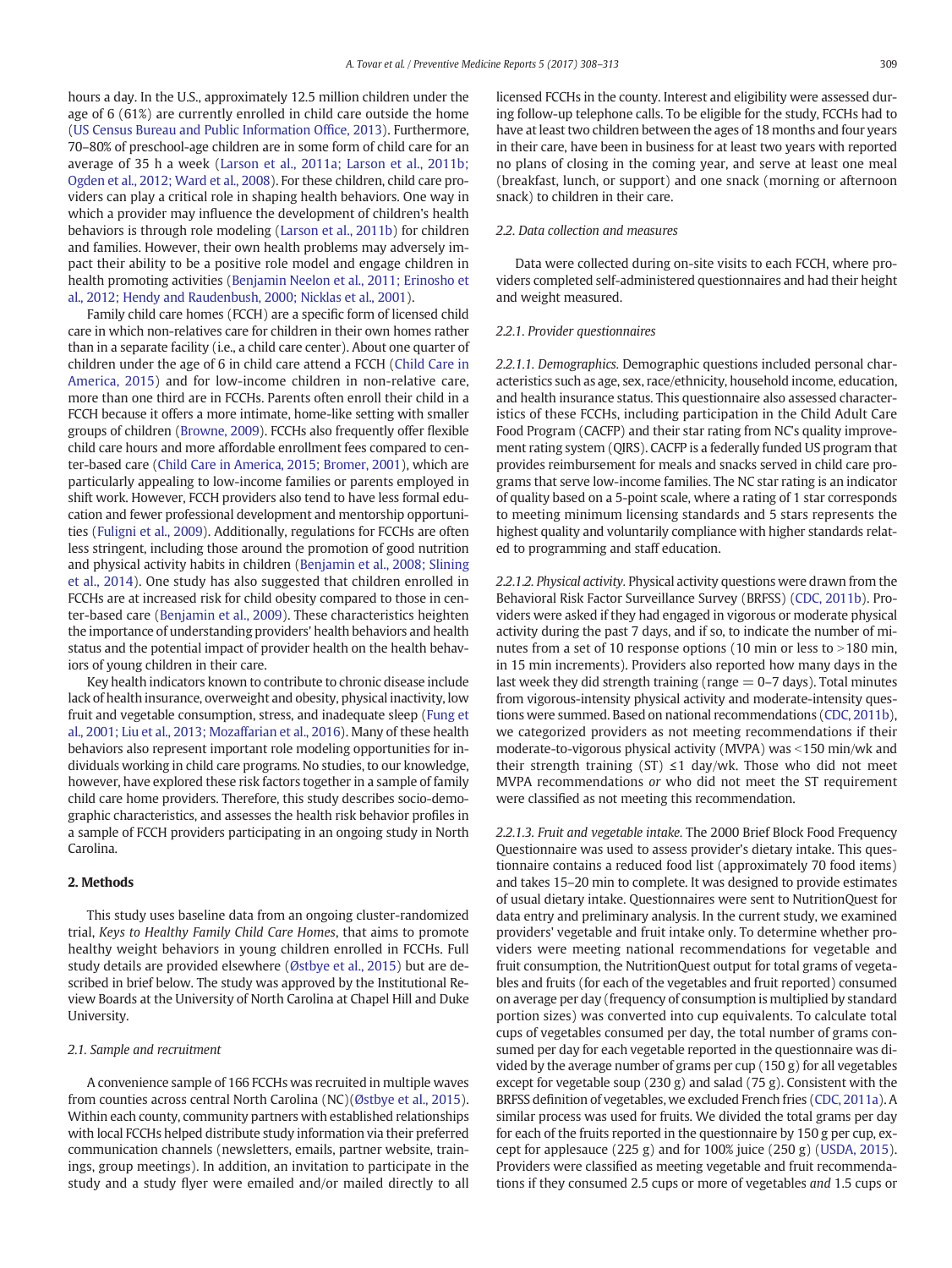hours a day. In the U.S., approximately 12.5 million children under the age of 6 (61%) are currently enrolled in child care outside the home [\(US Census Bureau and Public Information Of](#page-7-0)fice, 2013). Furthermore, 70–80% of preschool-age children are in some form of child care for an average of 35 h a week ([Larson et al., 2011a; Larson et al., 2011b;](#page-7-0) [Ogden et al., 2012; Ward et al., 2008](#page-7-0)). For these children, child care providers can play a critical role in shaping health behaviors. One way in which a provider may influence the development of children's health behaviors is through role modeling [\(Larson et al., 2011b\)](#page-7-0) for children and families. However, their own health problems may adversely impact their ability to be a positive role model and engage children in health promoting activities [\(Benjamin Neelon et al., 2011; Erinosho et](#page-6-0) [al., 2012; Hendy and Raudenbush, 2000; Nicklas et al., 2001](#page-6-0)).

Family child care homes (FCCH) are a specific form of licensed child care in which non-relatives care for children in their own homes rather than in a separate facility (i.e., a child care center). About one quarter of children under the age of 6 in child care attend a FCCH [\(Child Care in](#page-6-0) [America, 2015\)](#page-6-0) and for low-income children in non-relative care, more than one third are in FCCHs. Parents often enroll their child in a FCCH because it offers a more intimate, home-like setting with smaller groups of children ([Browne, 2009](#page-6-0)). FCCHs also frequently offer flexible child care hours and more affordable enrollment fees compared to center-based care ([Child Care in America, 2015; Bromer, 2001\)](#page-6-0), which are particularly appealing to low-income families or parents employed in shift work. However, FCCH providers also tend to have less formal education and fewer professional development and mentorship opportunities ([Fuligni et al., 2009\)](#page-7-0). Additionally, regulations for FCCHs are often less stringent, including those around the promotion of good nutrition and physical activity habits in children ([Benjamin et al., 2008; Slining](#page-6-0) [et al., 2014](#page-6-0)). One study has also suggested that children enrolled in FCCHs are at increased risk for child obesity compared to those in center-based care [\(Benjamin et al., 2009](#page-6-0)). These characteristics heighten the importance of understanding providers' health behaviors and health status and the potential impact of provider health on the health behaviors of young children in their care.

Key health indicators known to contribute to chronic disease include lack of health insurance, overweight and obesity, physical inactivity, low fruit and vegetable consumption, stress, and inadequate sleep [\(Fung et](#page-7-0) [al., 2001; Liu et al., 2013; Mozaffarian et al., 2016\)](#page-7-0). Many of these health behaviors also represent important role modeling opportunities for individuals working in child care programs. No studies, to our knowledge, however, have explored these risk factors together in a sample of family child care home providers. Therefore, this study describes socio-demographic characteristics, and assesses the health risk behavior profiles in a sample of FCCH providers participating in an ongoing study in North Carolina.

#### 2. Methods

This study uses baseline data from an ongoing cluster-randomized trial, Keys to Healthy Family Child Care Homes, that aims to promote healthy weight behaviors in young children enrolled in FCCHs. Full study details are provided elsewhere ([Østbye et al., 2015\)](#page-7-0) but are described in brief below. The study was approved by the Institutional Review Boards at the University of North Carolina at Chapel Hill and Duke University.

#### 2.1. Sample and recruitment

A convenience sample of 166 FCCHs was recruited in multiple waves from counties across central North Carolina (NC)[\(Østbye et al., 2015](#page-7-0)). Within each county, community partners with established relationships with local FCCHs helped distribute study information via their preferred communication channels (newsletters, emails, partner website, trainings, group meetings). In addition, an invitation to participate in the study and a study flyer were emailed and/or mailed directly to all licensed FCCHs in the county. Interest and eligibility were assessed during follow-up telephone calls. To be eligible for the study, FCCHs had to have at least two children between the ages of 18 months and four years in their care, have been in business for at least two years with reported no plans of closing in the coming year, and serve at least one meal (breakfast, lunch, or support) and one snack (morning or afternoon snack) to children in their care.

#### 2.2. Data collection and measures

Data were collected during on-site visits to each FCCH, where providers completed self-administered questionnaires and had their height and weight measured.

#### 2.2.1. Provider questionnaires

2.2.1.1. Demographics. Demographic questions included personal characteristics such as age, sex, race/ethnicity, household income, education, and health insurance status. This questionnaire also assessed characteristics of these FCCHs, including participation in the Child Adult Care Food Program (CACFP) and their star rating from NC's quality improvement rating system (QIRS). CACFP is a federally funded US program that provides reimbursement for meals and snacks served in child care programs that serve low-income families. The NC star rating is an indicator of quality based on a 5-point scale, where a rating of 1 star corresponds to meeting minimum licensing standards and 5 stars represents the highest quality and voluntarily compliance with higher standards related to programming and staff education.

2.2.1.2. Physical activity. Physical activity questions were drawn from the Behavioral Risk Factor Surveillance Survey (BRFSS) ([CDC, 2011b\)](#page-6-0). Providers were asked if they had engaged in vigorous or moderate physical activity during the past 7 days, and if so, to indicate the number of minutes from a set of 10 response options (10 min or less to  $>$  180 min, in 15 min increments). Providers also reported how many days in the last week they did strength training (range  $=$  0-7 days). Total minutes from vigorous-intensity physical activity and moderate-intensity questions were summed. Based on national recommendations [\(CDC, 2011b](#page-6-0)), we categorized providers as not meeting recommendations if their moderate-to-vigorous physical activity (MVPA) was  $\le$ 150 min/wk and their strength training (ST)  $\leq$ 1 day/wk. Those who did not meet MVPA recommendations or who did not meet the ST requirement were classified as not meeting this recommendation.

2.2.1.3. Fruit and vegetable intake. The 2000 Brief Block Food Frequency Questionnaire was used to assess provider's dietary intake. This questionnaire contains a reduced food list (approximately 70 food items) and takes 15–20 min to complete. It was designed to provide estimates of usual dietary intake. Questionnaires were sent to NutritionQuest for data entry and preliminary analysis. In the current study, we examined providers' vegetable and fruit intake only. To determine whether providers were meeting national recommendations for vegetable and fruit consumption, the NutritionQuest output for total grams of vegetables and fruits (for each of the vegetables and fruit reported) consumed on average per day (frequency of consumption is multiplied by standard portion sizes) was converted into cup equivalents. To calculate total cups of vegetables consumed per day, the total number of grams consumed per day for each vegetable reported in the questionnaire was divided by the average number of grams per cup (150 g) for all vegetables except for vegetable soup  $(230 g)$  and salad  $(75 g)$ . Consistent with the BRFSS definition of vegetables, we excluded French fries [\(CDC, 2011a\)](#page-6-0). A similar process was used for fruits. We divided the total grams per day for each of the fruits reported in the questionnaire by 150 g per cup, except for applesauce (225 g) and for 100% juice (250 g) ([USDA, 2015](#page-7-0)). Providers were classified as meeting vegetable and fruit recommendations if they consumed 2.5 cups or more of vegetables and 1.5 cups or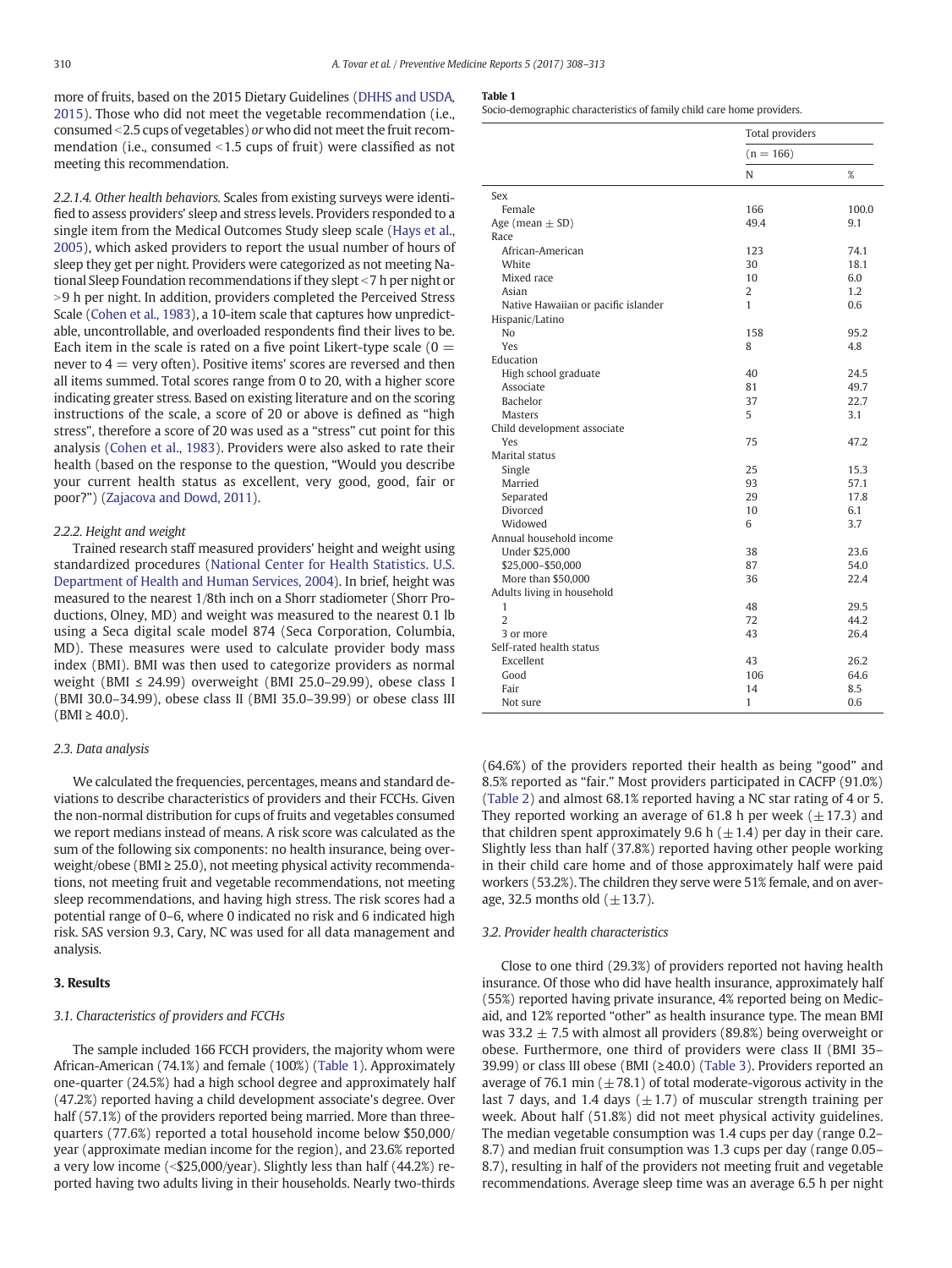more of fruits, based on the 2015 Dietary Guidelines [\(DHHS and USDA,](#page-6-0) [2015](#page-6-0)). Those who did not meet the vegetable recommendation (i.e., consumed b2.5 cups of vegetables) or who did not meet the fruit recommendation (i.e., consumed  $\leq$ 1.5 cups of fruit) were classified as not meeting this recommendation.

2.2.1.4. Other health behaviors. Scales from existing surveys were identified to assess providers' sleep and stress levels. Providers responded to a single item from the Medical Outcomes Study sleep scale ([Hays et al.,](#page-7-0) [2005\)](#page-7-0), which asked providers to report the usual number of hours of sleep they get per night. Providers were categorized as not meeting National Sleep Foundation recommendations if they slept <7 h per night or >9 h per night. In addition, providers completed the Perceived Stress Scale [\(Cohen et al., 1983](#page-6-0)), a 10-item scale that captures how unpredictable, uncontrollable, and overloaded respondents find their lives to be. Each item in the scale is rated on a five point Likert-type scale  $(0 =$ never to  $4 =$  very often). Positive items' scores are reversed and then all items summed. Total scores range from 0 to 20, with a higher score indicating greater stress. Based on existing literature and on the scoring instructions of the scale, a score of 20 or above is defined as "high stress", therefore a score of 20 was used as a "stress" cut point for this analysis ([Cohen et al., 1983\)](#page-6-0). Providers were also asked to rate their health (based on the response to the question, "Would you describe your current health status as excellent, very good, good, fair or poor?") ([Zajacova and Dowd, 2011\)](#page-7-0).

#### 2.2.2. Height and weight

Trained research staff measured providers' height and weight using standardized procedures ([National Center for Health Statistics. U.S.](#page-7-0) [Department of Health and Human Services, 2004\)](#page-7-0). In brief, height was measured to the nearest 1/8th inch on a Shorr stadiometer (Shorr Productions, Olney, MD) and weight was measured to the nearest 0.1 lb using a Seca digital scale model 874 (Seca Corporation, Columbia, MD). These measures were used to calculate provider body mass index (BMI). BMI was then used to categorize providers as normal weight (BMI ≤ 24.99) overweight (BMI 25.0–29.99), obese class I (BMI 30.0–34.99), obese class II (BMI 35.0–39.99) or obese class III  $(BMI \ge 40.0)$ .

#### 2.3. Data analysis

We calculated the frequencies, percentages, means and standard deviations to describe characteristics of providers and their FCCHs. Given the non-normal distribution for cups of fruits and vegetables consumed we report medians instead of means. A risk score was calculated as the sum of the following six components: no health insurance, being overweight/obese ( $BMI \geq 25.0$ ), not meeting physical activity recommendations, not meeting fruit and vegetable recommendations, not meeting sleep recommendations, and having high stress. The risk scores had a potential range of 0–6, where 0 indicated no risk and 6 indicated high risk. SAS version 9.3, Cary, NC was used for all data management and analysis.

#### 3. Results

#### 3.1. Characteristics of providers and FCCHs

The sample included 166 FCCH providers, the majority whom were African-American (74.1%) and female (100%) (Table 1). Approximately one-quarter (24.5%) had a high school degree and approximately half (47.2%) reported having a child development associate's degree. Over half (57.1%) of the providers reported being married. More than threequarters (77.6%) reported a total household income below \$50,000/ year (approximate median income for the region), and 23.6% reported a very low income  $\langle$  <\$25,000/year). Slightly less than half (44.2%) reported having two adults living in their households. Nearly two-thirds

#### Table 1

Socio-demographic characteristics of family child care home providers.

|                                     | <b>Total providers</b> |       |  |
|-------------------------------------|------------------------|-------|--|
|                                     | $(n = 166)$            |       |  |
|                                     | N                      | $\%$  |  |
| Sex                                 |                        |       |  |
| Female                              | 166                    | 100.0 |  |
| Age (mean $\pm$ SD)                 | 49.4                   | 9.1   |  |
| Race                                |                        |       |  |
| African-American                    | 123                    | 74.1  |  |
| White                               | 30                     | 18.1  |  |
| Mixed race                          | 10                     | 6.0   |  |
| Asian                               | $\overline{2}$         | 1.2   |  |
| Native Hawaiian or pacific islander | 1                      | 0.6   |  |
| Hispanic/Latino                     |                        |       |  |
| No                                  | 158                    | 95.2  |  |
| Yes                                 | 8                      | 4.8   |  |
| Education                           |                        |       |  |
| High school graduate                | 40                     | 24.5  |  |
| Associate                           | 81                     | 49.7  |  |
| <b>Bachelor</b>                     | 37                     | 22.7  |  |
| <b>Masters</b>                      | 5                      | 3.1   |  |
| Child development associate         |                        |       |  |
| Yes                                 | 75                     | 47.2  |  |
| Marital status                      |                        |       |  |
| Single                              | 25                     | 15.3  |  |
| Married                             | 93                     | 57.1  |  |
| Separated                           | 29                     | 17.8  |  |
| Divorced                            | 10                     | 6.1   |  |
| Widowed                             | 6                      | 3.7   |  |
| Annual household income             |                        |       |  |
| Under \$25,000                      | 38                     | 23.6  |  |
| \$25,000-\$50,000                   | 87                     | 54.0  |  |
| More than \$50,000                  | 36                     | 22.4  |  |
| Adults living in household          |                        |       |  |
| 1                                   | 48                     | 29.5  |  |
| $\overline{2}$                      | 72                     | 44.2  |  |
| 3 or more                           | 43                     | 26.4  |  |
| Self-rated health status            |                        |       |  |
| Excellent                           | 43                     | 26.2  |  |
| Good                                | 106                    | 64.6  |  |
| Fair                                | 14                     | 8.5   |  |
| Not sure                            | 1                      | 0.6   |  |

(64.6%) of the providers reported their health as being "good" and 8.5% reported as "fair." Most providers participated in CACFP (91.0%) [\(Table 2](#page-5-0)) and almost 68.1% reported having a NC star rating of 4 or 5. They reported working an average of 61.8 h per week ( $\pm$ 17.3) and that children spent approximately 9.6 h  $(\pm 1.4)$  per day in their care. Slightly less than half (37.8%) reported having other people working in their child care home and of those approximately half were paid workers (53.2%). The children they serve were 51% female, and on average, 32.5 months old  $(\pm 13.7)$ .

#### 3.2. Provider health characteristics

Close to one third (29.3%) of providers reported not having health insurance. Of those who did have health insurance, approximately half (55%) reported having private insurance, 4% reported being on Medicaid, and 12% reported "other" as health insurance type. The mean BMI was 33.2  $\pm$  7.5 with almost all providers (89.8%) being overweight or obese. Furthermore, one third of providers were class II (BMI 35– 39.99) or class III obese (BMI (≥40.0) [\(Table 3](#page-5-0)). Providers reported an average of 76.1 min ( $\pm$  78.1) of total moderate-vigorous activity in the last 7 days, and 1.4 days  $(\pm 1.7)$  of muscular strength training per week. About half (51.8%) did not meet physical activity guidelines. The median vegetable consumption was 1.4 cups per day (range 0.2– 8.7) and median fruit consumption was 1.3 cups per day (range 0.05– 8.7), resulting in half of the providers not meeting fruit and vegetable recommendations. Average sleep time was an average 6.5 h per night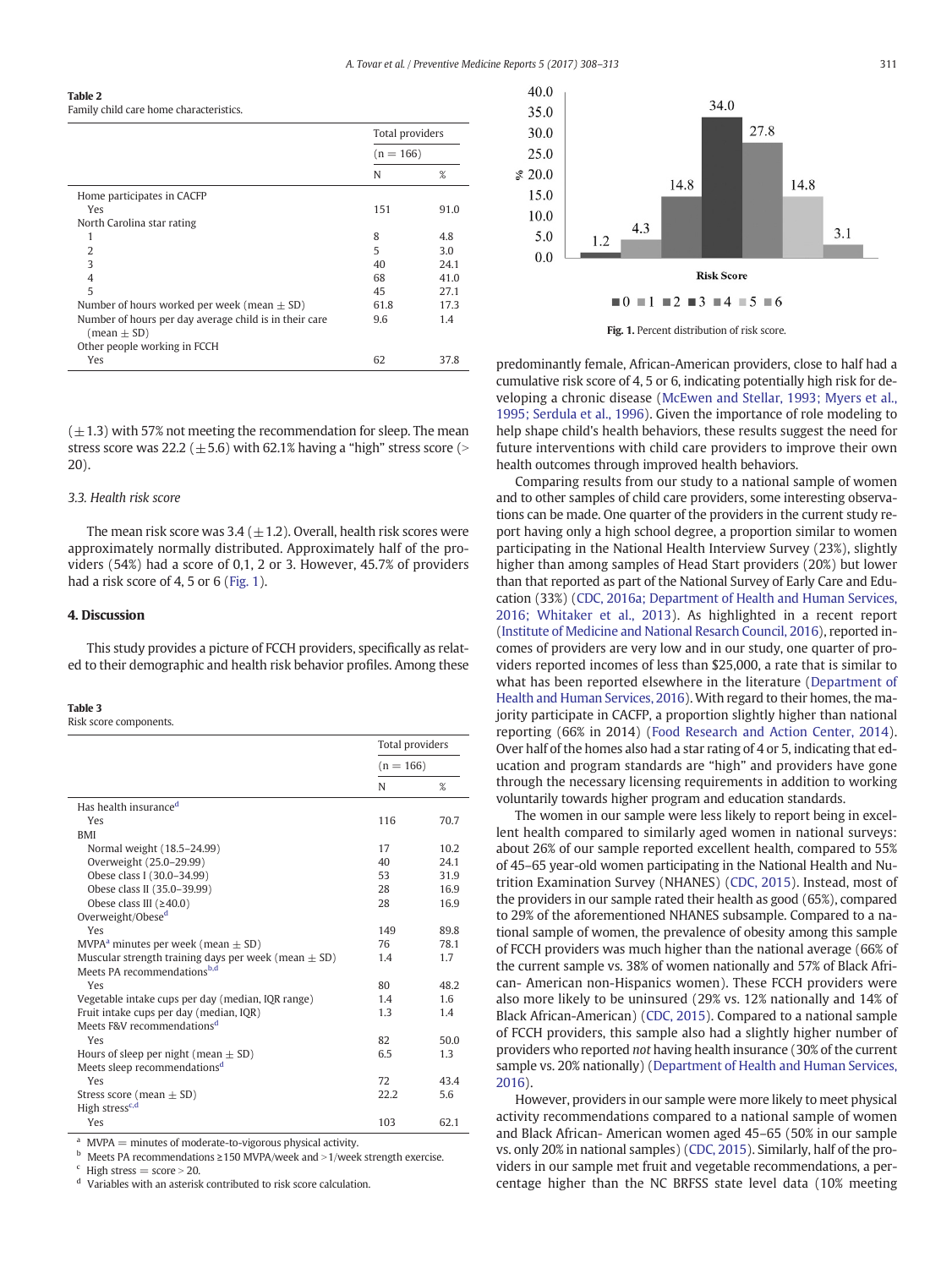<span id="page-5-0"></span>Table 2

Family child care home characteristics.

|                                                                           | Total providers<br>$(n = 166)$ |      |
|---------------------------------------------------------------------------|--------------------------------|------|
|                                                                           |                                |      |
|                                                                           | N                              | %    |
| Home participates in CACFP                                                |                                |      |
| Yes                                                                       | 151                            | 91.0 |
| North Carolina star rating                                                |                                |      |
| 1                                                                         | 8                              | 4.8  |
| 2                                                                         | 5                              | 3.0  |
| 3                                                                         | 40                             | 24.1 |
| 4                                                                         | 68                             | 41.0 |
| 5                                                                         | 45                             | 27.1 |
| Number of hours worked per week (mean $\pm$ SD)                           | 61.8                           | 17.3 |
| Number of hours per day average child is in their care<br>$(mean \pm SD)$ | 9.6                            | 1.4  |
| Other people working in FCCH                                              |                                |      |
| Yes                                                                       | 62                             | 37.8 |

 $(\pm 1.3)$  with 57% not meeting the recommendation for sleep. The mean stress score was 22.2 ( $\pm$  5.6) with 62.1% having a "high" stress score (> 20).

#### 3.3. Health risk score

The mean risk score was 3.4 ( $\pm$ 1.2). Overall, health risk scores were approximately normally distributed. Approximately half of the providers (54%) had a score of 0,1, 2 or 3. However, 45.7% of providers had a risk score of 4, 5 or 6 (Fig. 1).

#### 4. Discussion

This study provides a picture of FCCH providers, specifically as related to their demographic and health risk behavior profiles. Among these

#### Table 3

Risk score components.

|                                                                                                                                                                                                                                                                                                                                                                                                                                                                                                                                                                         | Total providers<br>$(n = 166)$ |      |
|-------------------------------------------------------------------------------------------------------------------------------------------------------------------------------------------------------------------------------------------------------------------------------------------------------------------------------------------------------------------------------------------------------------------------------------------------------------------------------------------------------------------------------------------------------------------------|--------------------------------|------|
|                                                                                                                                                                                                                                                                                                                                                                                                                                                                                                                                                                         |                                |      |
|                                                                                                                                                                                                                                                                                                                                                                                                                                                                                                                                                                         | N                              | %    |
| Has health insurance <sup>d</sup>                                                                                                                                                                                                                                                                                                                                                                                                                                                                                                                                       |                                |      |
| Yes                                                                                                                                                                                                                                                                                                                                                                                                                                                                                                                                                                     | 116                            | 70.7 |
| <b>BMI</b>                                                                                                                                                                                                                                                                                                                                                                                                                                                                                                                                                              |                                |      |
| Normal weight (18.5-24.99)                                                                                                                                                                                                                                                                                                                                                                                                                                                                                                                                              | 17                             | 10.2 |
| Overweight (25.0-29.99)                                                                                                                                                                                                                                                                                                                                                                                                                                                                                                                                                 | 40                             | 24.1 |
| Obese class I (30.0-34.99)                                                                                                                                                                                                                                                                                                                                                                                                                                                                                                                                              | 53                             | 31.9 |
| Obese class II (35.0-39.99)                                                                                                                                                                                                                                                                                                                                                                                                                                                                                                                                             | 28                             | 16.9 |
| Obese class III $(≥40.0)$                                                                                                                                                                                                                                                                                                                                                                                                                                                                                                                                               | 28                             | 16.9 |
| Overweight/Obese <sup>d</sup>                                                                                                                                                                                                                                                                                                                                                                                                                                                                                                                                           |                                |      |
| Yes                                                                                                                                                                                                                                                                                                                                                                                                                                                                                                                                                                     | 149                            | 89.8 |
| MVPA <sup>a</sup> minutes per week (mean $\pm$ SD)                                                                                                                                                                                                                                                                                                                                                                                                                                                                                                                      | 76                             | 78.1 |
| Muscular strength training days per week (mean $\pm$ SD)                                                                                                                                                                                                                                                                                                                                                                                                                                                                                                                | 1.4                            | 1.7  |
| Meets PA recommendations <sup>b,d</sup>                                                                                                                                                                                                                                                                                                                                                                                                                                                                                                                                 |                                |      |
| Yes                                                                                                                                                                                                                                                                                                                                                                                                                                                                                                                                                                     | 80                             | 48.2 |
| Vegetable intake cups per day (median, IQR range)                                                                                                                                                                                                                                                                                                                                                                                                                                                                                                                       | 1.4                            | 1.6  |
| Fruit intake cups per day (median, IQR)                                                                                                                                                                                                                                                                                                                                                                                                                                                                                                                                 | 1.3                            | 1.4  |
| Meets F&V recommendations <sup>d</sup>                                                                                                                                                                                                                                                                                                                                                                                                                                                                                                                                  |                                |      |
| Yes                                                                                                                                                                                                                                                                                                                                                                                                                                                                                                                                                                     | 82                             | 50.0 |
| Hours of sleep per night (mean $\pm$ SD)                                                                                                                                                                                                                                                                                                                                                                                                                                                                                                                                | 6.5                            | 1.3  |
| Meets sleep recommendations <sup>d</sup>                                                                                                                                                                                                                                                                                                                                                                                                                                                                                                                                |                                |      |
| Yes                                                                                                                                                                                                                                                                                                                                                                                                                                                                                                                                                                     | 72                             | 43.4 |
| Stress score (mean $\pm$ SD)                                                                                                                                                                                                                                                                                                                                                                                                                                                                                                                                            | 22.2                           | 5.6  |
| High stress <sup>c,d</sup>                                                                                                                                                                                                                                                                                                                                                                                                                                                                                                                                              |                                |      |
| Yes                                                                                                                                                                                                                                                                                                                                                                                                                                                                                                                                                                     | 103                            | 62.1 |
| $\overline{a}$ and $\overline{a}$ and $\overline{a}$ and $\overline{a}$ and $\overline{a}$ and $\overline{a}$ and $\overline{a}$ and $\overline{a}$ and $\overline{a}$ and $\overline{a}$ and $\overline{a}$ and $\overline{a}$ and $\overline{a}$ and $\overline{a}$ and $\overline{a}$ and $\overline{a}$ and $\overline{a}$ and<br>$\mathbf{r}$ . The second contract of the second contract of the second contract of the second contract of the second contract of the second contract of the second contract of the second contract of the second contract of the |                                |      |

 $MVPA =$  minutes of moderate-to-vigorous physical activity.

Meets PA recommendations ≥150 MVPA/week and >1/week strength exercise.

<sup>c</sup> High stress = score > 20.

Variables with an asterisk contributed to risk score calculation.



Fig. 1. Percent distribution of risk score.

predominantly female, African-American providers, close to half had a cumulative risk score of 4, 5 or 6, indicating potentially high risk for developing a chronic disease [\(McEwen and Stellar, 1993; Myers et al.,](#page-7-0) [1995; Serdula et al., 1996](#page-7-0)). Given the importance of role modeling to help shape child's health behaviors, these results suggest the need for future interventions with child care providers to improve their own health outcomes through improved health behaviors.

Comparing results from our study to a national sample of women and to other samples of child care providers, some interesting observations can be made. One quarter of the providers in the current study report having only a high school degree, a proportion similar to women participating in the National Health Interview Survey (23%), slightly higher than among samples of Head Start providers (20%) but lower than that reported as part of the National Survey of Early Care and Education (33%) ([CDC, 2016a; Department of Health and Human Services,](#page-6-0) [2016; Whitaker et al., 2013](#page-6-0)). As highlighted in a recent report [\(Institute of Medicine and National Resarch Council, 2016](#page-7-0)), reported incomes of providers are very low and in our study, one quarter of providers reported incomes of less than \$25,000, a rate that is similar to what has been reported elsewhere in the literature [\(Department of](#page-6-0) [Health and Human Services, 2016](#page-6-0)). With regard to their homes, the majority participate in CACFP, a proportion slightly higher than national reporting (66% in 2014) ([Food Research and Action Center, 2014](#page-7-0)). Over half of the homes also had a star rating of 4 or 5, indicating that education and program standards are "high" and providers have gone through the necessary licensing requirements in addition to working voluntarily towards higher program and education standards.

The women in our sample were less likely to report being in excellent health compared to similarly aged women in national surveys: about 26% of our sample reported excellent health, compared to 55% of 45–65 year-old women participating in the National Health and Nutrition Examination Survey (NHANES) [\(CDC, 2015\)](#page-6-0). Instead, most of the providers in our sample rated their health as good (65%), compared to 29% of the aforementioned NHANES subsample. Compared to a national sample of women, the prevalence of obesity among this sample of FCCH providers was much higher than the national average (66% of the current sample vs. 38% of women nationally and 57% of Black African- American non-Hispanics women). These FCCH providers were also more likely to be uninsured (29% vs. 12% nationally and 14% of Black African-American) [\(CDC, 2015](#page-6-0)). Compared to a national sample of FCCH providers, this sample also had a slightly higher number of providers who reported not having health insurance (30% of the current sample vs. 20% nationally) ([Department of Health and Human Services,](#page-6-0) [2016](#page-6-0)).

However, providers in our sample were more likely to meet physical activity recommendations compared to a national sample of women and Black African- American women aged 45–65 (50% in our sample vs. only 20% in national samples) [\(CDC, 2015](#page-6-0)). Similarly, half of the providers in our sample met fruit and vegetable recommendations, a percentage higher than the NC BRFSS state level data (10% meeting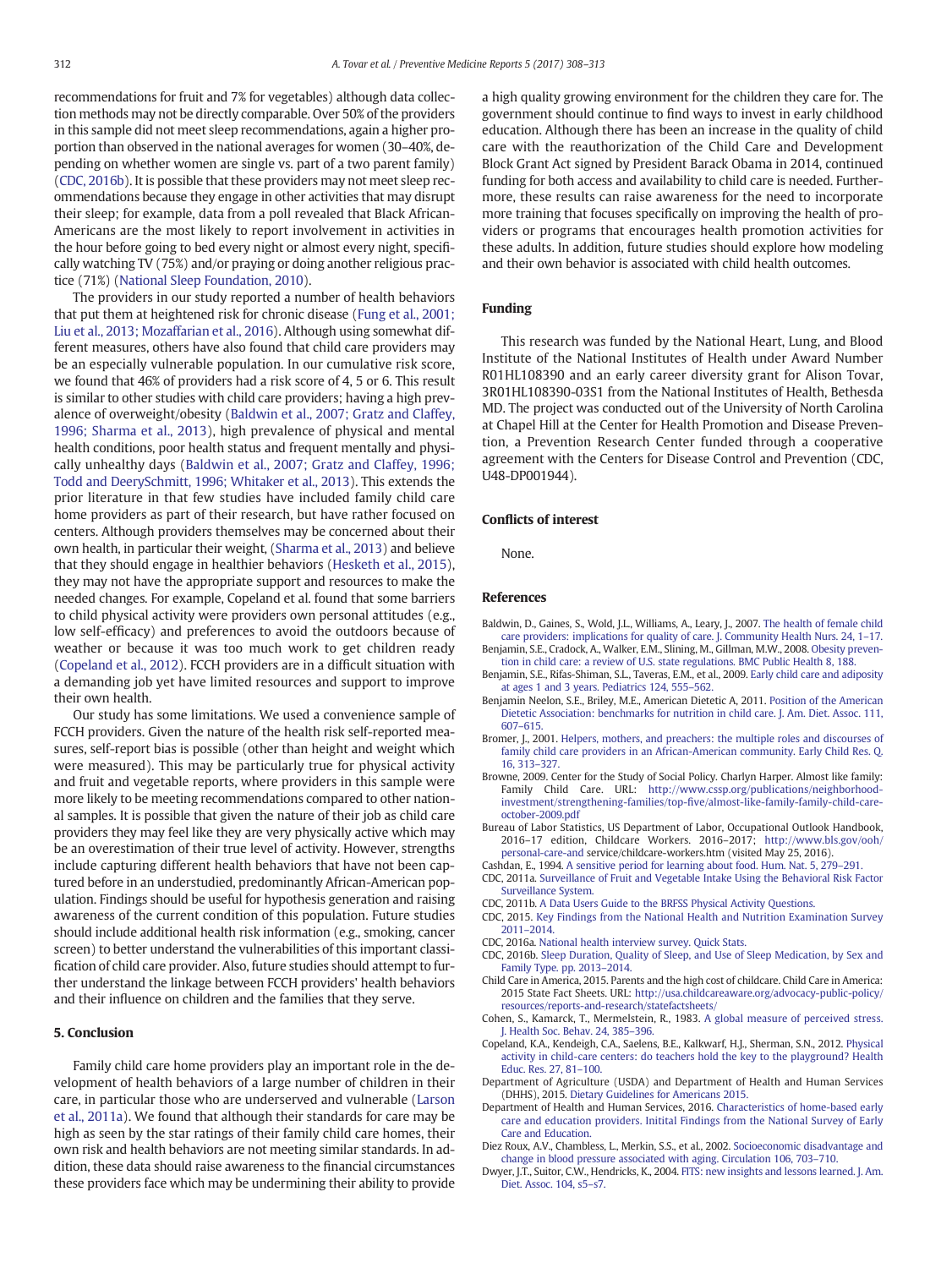<span id="page-6-0"></span>recommendations for fruit and 7% for vegetables) although data collection methods may not be directly comparable. Over 50% of the providers in this sample did not meet sleep recommendations, again a higher proportion than observed in the national averages for women (30–40%, depending on whether women are single vs. part of a two parent family) (CDC, 2016b). It is possible that these providers may not meet sleep recommendations because they engage in other activities that may disrupt their sleep; for example, data from a poll revealed that Black African-Americans are the most likely to report involvement in activities in the hour before going to bed every night or almost every night, specifically watching TV (75%) and/or praying or doing another religious practice (71%) ([National Sleep Foundation, 2010\)](#page-7-0).

The providers in our study reported a number of health behaviors that put them at heightened risk for chronic disease ([Fung et al., 2001;](#page-7-0) [Liu et al., 2013; Mozaffarian et al., 2016\)](#page-7-0). Although using somewhat different measures, others have also found that child care providers may be an especially vulnerable population. In our cumulative risk score, we found that 46% of providers had a risk score of 4, 5 or 6. This result is similar to other studies with child care providers; having a high prevalence of overweight/obesity (Baldwin et al., 2007; Gratz and Claffey, 1996; Sharma et al., 2013), high prevalence of physical and mental health conditions, poor health status and frequent mentally and physically unhealthy days (Baldwin et al., 2007; Gratz and Claffey, 1996; Todd and DeerySchmitt, 1996; Whitaker et al., 2013). This extends the prior literature in that few studies have included family child care home providers as part of their research, but have rather focused on centers. Although providers themselves may be concerned about their own health, in particular their weight, [\(Sharma et al., 2013](#page-7-0)) and believe that they should engage in healthier behaviors [\(Hesketh et al., 2015](#page-7-0)), they may not have the appropriate support and resources to make the needed changes. For example, Copeland et al. found that some barriers to child physical activity were providers own personal attitudes (e.g., low self-efficacy) and preferences to avoid the outdoors because of weather or because it was too much work to get children ready (Copeland et al., 2012). FCCH providers are in a difficult situation with a demanding job yet have limited resources and support to improve their own health.

Our study has some limitations. We used a convenience sample of FCCH providers. Given the nature of the health risk self-reported measures, self-report bias is possible (other than height and weight which were measured). This may be particularly true for physical activity and fruit and vegetable reports, where providers in this sample were more likely to be meeting recommendations compared to other national samples. It is possible that given the nature of their job as child care providers they may feel like they are very physically active which may be an overestimation of their true level of activity. However, strengths include capturing different health behaviors that have not been captured before in an understudied, predominantly African-American population. Findings should be useful for hypothesis generation and raising awareness of the current condition of this population. Future studies should include additional health risk information (e.g., smoking, cancer screen) to better understand the vulnerabilities of this important classification of child care provider. Also, future studies should attempt to further understand the linkage between FCCH providers' health behaviors and their influence on children and the families that they serve.

#### 5. Conclusion

Family child care home providers play an important role in the development of health behaviors of a large number of children in their care, in particular those who are underserved and vulnerable ([Larson](#page-7-0) [et al., 2011a\)](#page-7-0). We found that although their standards for care may be high as seen by the star ratings of their family child care homes, their own risk and health behaviors are not meeting similar standards. In addition, these data should raise awareness to the financial circumstances these providers face which may be undermining their ability to provide a high quality growing environment for the children they care for. The government should continue to find ways to invest in early childhood education. Although there has been an increase in the quality of child care with the reauthorization of the Child Care and Development Block Grant Act signed by President Barack Obama in 2014, continued funding for both access and availability to child care is needed. Furthermore, these results can raise awareness for the need to incorporate more training that focuses specifically on improving the health of providers or programs that encourages health promotion activities for these adults. In addition, future studies should explore how modeling and their own behavior is associated with child health outcomes.

#### Funding

This research was funded by the National Heart, Lung, and Blood Institute of the National Institutes of Health under Award Number R01HL108390 and an early career diversity grant for Alison Tovar, 3R01HL108390-03S1 from the National Institutes of Health, Bethesda MD. The project was conducted out of the University of North Carolina at Chapel Hill at the Center for Health Promotion and Disease Prevention, a Prevention Research Center funded through a cooperative agreement with the Centers for Disease Control and Prevention (CDC, U48-DP001944).

### Conflicts of interest

None.

#### References

- Baldwin, D., Gaines, S., Wold, J.L., Williams, A., Leary, J., 2007. [The health of female child](http://refhub.elsevier.com/S2211-3355(16)30143-7/rf0005) [care providers: implications for quality of care. J. Community Health Nurs. 24, 1](http://refhub.elsevier.com/S2211-3355(16)30143-7/rf0005)–17.
- Benjamin, S.E., Cradock, A., Walker, E.M., Slining, M., Gillman, M.W., 2008. [Obesity preven](http://refhub.elsevier.com/S2211-3355(16)30143-7/rf0015)[tion in child care: a review of U.S. state regulations. BMC Public Health 8, 188](http://refhub.elsevier.com/S2211-3355(16)30143-7/rf0015).
- Benjamin, S.E., Rifas-Shiman, S.L., Taveras, E.M., et al., 2009. [Early child care and adiposity](http://refhub.elsevier.com/S2211-3355(16)30143-7/rf0020) [at ages 1 and 3 years. Pediatrics 124, 555](http://refhub.elsevier.com/S2211-3355(16)30143-7/rf0020)–562.
- Benjamin Neelon, S.E., Briley, M.E., American Dietetic A, 2011. [Position of the American](http://refhub.elsevier.com/S2211-3355(16)30143-7/rf0010) [Dietetic Association: benchmarks for nutrition in child care. J. Am. Diet. Assoc. 111,](http://refhub.elsevier.com/S2211-3355(16)30143-7/rf0010) 607–[615.](http://refhub.elsevier.com/S2211-3355(16)30143-7/rf0010)
- Bromer, J., 2001. [Helpers, mothers, and preachers: the multiple roles and discourses of](http://refhub.elsevier.com/S2211-3355(16)30143-7/rf0025) [family child care providers in an African-American community. Early Child Res. Q.](http://refhub.elsevier.com/S2211-3355(16)30143-7/rf0025) [16, 313](http://refhub.elsevier.com/S2211-3355(16)30143-7/rf0025)–327.
- Browne, 2009. Center for the Study of Social Policy. Charlyn Harper. Almost like family: Family Child Care. URL: [http://www.cssp.org/publications/neighborhood](http://www.cssp.org/publications/neighborhood-investment/strengthening-families/top-five/almost-like-family-family-child-care-october-2009.pdf)investment/strengthening-families/top-fi[ve/almost-like-family-family-child-care](http://www.cssp.org/publications/neighborhood-investment/strengthening-families/top-five/almost-like-family-family-child-care-october-2009.pdf)[october-2009.pdf](http://www.cssp.org/publications/neighborhood-investment/strengthening-families/top-five/almost-like-family-family-child-care-october-2009.pdf)
- Bureau of Labor Statistics, US Department of Labor, Occupational Outlook Handbook, 2016–17 edition, Childcare Workers. 2016–2017; [http://www.bls.gov/ooh/](http://www.bls.gov/ooh/personal-care-and) [personal-care-and](http://www.bls.gov/ooh/personal-care-and) service/childcare-workers.htm (visited May 25, 2016).
- Cashdan, E., 1994. [A sensitive period for learning about food. Hum. Nat. 5, 279](http://refhub.elsevier.com/S2211-3355(16)30143-7/rf0030)–291.
- CDC, 2011a. [Surveillance of Fruit and Vegetable Intake Using the Behavioral Risk Factor](http://refhub.elsevier.com/S2211-3355(16)30143-7/rf0035) [Surveillance System](http://refhub.elsevier.com/S2211-3355(16)30143-7/rf0035).
- CDC, 2011b. [A Data Users Guide to the BRFSS Physical Activity Questions.](http://refhub.elsevier.com/S2211-3355(16)30143-7/rf0060)
- CDC, 2015. [Key Findings from the National Health and Nutrition Examination Survey](http://refhub.elsevier.com/S2211-3355(16)30143-7/rf0180) 2011–[2014.](http://refhub.elsevier.com/S2211-3355(16)30143-7/rf0180)
- CDC, 2016a. [National health interview survey. Quick Stats.](http://refhub.elsevier.com/S2211-3355(16)30143-7/rf0040)
- CDC, 2016b. [Sleep Duration, Quality of Sleep, and Use of Sleep Medication, by Sex and](http://refhub.elsevier.com/S2211-3355(16)30143-7/rf0045) [Family Type. pp. 2013](http://refhub.elsevier.com/S2211-3355(16)30143-7/rf0045)–2014.
- Child Care in America, 2015. Parents and the high cost of childcare. Child Care in America: 2015 State Fact Sheets. URL: [http://usa.childcareaware.org/advocacy-public-policy/](http://usa.childcareaware.org/advocacy-public-policy/resources/reports-and-research/statefactsheets/) [resources/reports-and-research/statefactsheets/](http://usa.childcareaware.org/advocacy-public-policy/resources/reports-and-research/statefactsheets/)
- Cohen, S., Kamarck, T., Mermelstein, R., 1983. [A global measure of perceived stress.](http://refhub.elsevier.com/S2211-3355(16)30143-7/rf0055) [J. Health Soc. Behav. 24, 385](http://refhub.elsevier.com/S2211-3355(16)30143-7/rf0055)–396.
- Copeland, K.A., Kendeigh, C.A., Saelens, B.E., Kalkwarf, H.J., Sherman, S.N., 2012. [Physical](http://refhub.elsevier.com/S2211-3355(16)30143-7/rf0065) [activity in child-care centers: do teachers hold the key to the playground? Health](http://refhub.elsevier.com/S2211-3355(16)30143-7/rf0065) [Educ. Res. 27, 81](http://refhub.elsevier.com/S2211-3355(16)30143-7/rf0065)–100.
- Department of Agriculture (USDA) and Department of Health and Human Services (DHHS), 2015. [Dietary Guidelines for Americans 2015](http://refhub.elsevier.com/S2211-3355(16)30143-7/rf9000).
- Department of Health and Human Services, 2016. [Characteristics of home-based early](http://refhub.elsevier.com/S2211-3355(16)30143-7/rf0190) [care and education providers. Initital Findings from the National Survey of Early](http://refhub.elsevier.com/S2211-3355(16)30143-7/rf0190) [Care and Education.](http://refhub.elsevier.com/S2211-3355(16)30143-7/rf0190)
- Diez Roux, A.V., Chambless, L., Merkin, S.S., et al., 2002. [Socioeconomic disadvantage and](http://refhub.elsevier.com/S2211-3355(16)30143-7/rf0075) [change in blood pressure associated with aging. Circulation 106, 703](http://refhub.elsevier.com/S2211-3355(16)30143-7/rf0075)–710.
- Dwyer, J.T., Suitor, C.W., Hendricks, K., 2004. [FITS: new insights and lessons learned. J. Am.](http://refhub.elsevier.com/S2211-3355(16)30143-7/rf0080) [Diet. Assoc. 104, s5](http://refhub.elsevier.com/S2211-3355(16)30143-7/rf0080)–s7.